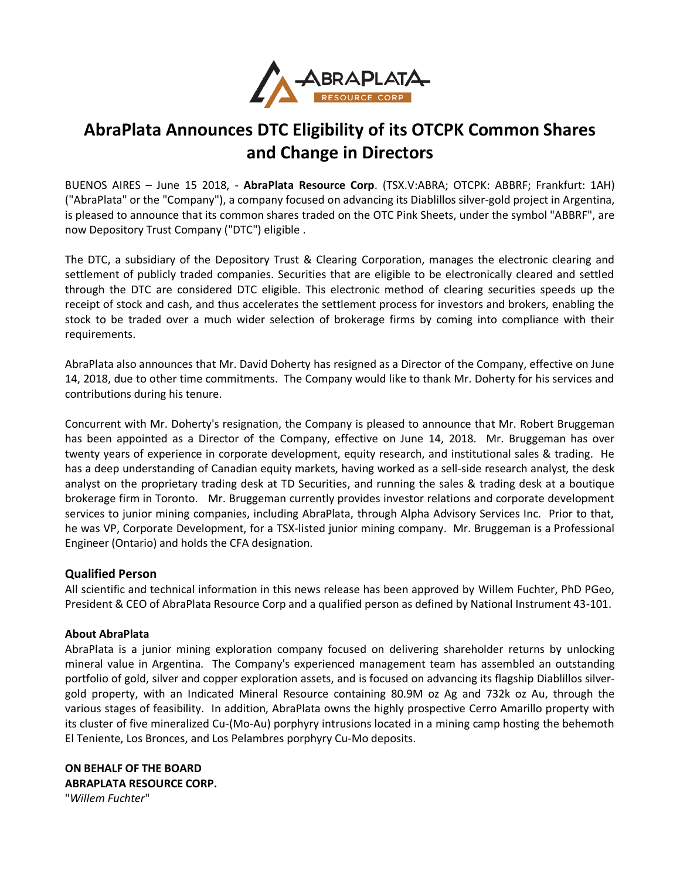

## **AbraPlata Announces DTC Eligibility of its OTCPK Common Shares and Change in Directors**

BUENOS AIRES – June 15 2018, - **AbraPlata Resource Corp**. (TSX.V:ABRA; OTCPK: ABBRF; Frankfurt: 1AH) ("AbraPlata" or the "Company"), a company focused on advancing its Diablillos silver-gold project in Argentina, is pleased to announce that its common shares traded on the OTC Pink Sheets, under the symbol "ABBRF", are now Depository Trust Company ("DTC") eligible .

The DTC, a subsidiary of the Depository Trust & Clearing Corporation, manages the electronic clearing and settlement of publicly traded companies. Securities that are eligible to be electronically cleared and settled through the DTC are considered DTC eligible. This electronic method of clearing securities speeds up the receipt of stock and cash, and thus accelerates the settlement process for investors and brokers, enabling the stock to be traded over a much wider selection of brokerage firms by coming into compliance with their requirements.

AbraPlata also announces that Mr. David Doherty has resigned as a Director of the Company, effective on June 14, 2018, due to other time commitments. The Company would like to thank Mr. Doherty for his services and contributions during his tenure.

Concurrent with Mr. Doherty's resignation, the Company is pleased to announce that Mr. Robert Bruggeman has been appointed as a Director of the Company, effective on June 14, 2018. Mr. Bruggeman has over twenty years of experience in corporate development, equity research, and institutional sales & trading. He has a deep understanding of Canadian equity markets, having worked as a sell-side research analyst, the desk analyst on the proprietary trading desk at TD Securities, and running the sales & trading desk at a boutique brokerage firm in Toronto. Mr. Bruggeman currently provides investor relations and corporate development services to junior mining companies, including AbraPlata, through Alpha Advisory Services Inc. Prior to that, he was VP, Corporate Development, for a TSX-listed junior mining company. Mr. Bruggeman is a Professional Engineer (Ontario) and holds the CFA designation.

## **Qualified Person**

All scientific and technical information in this news release has been approved by Willem Fuchter, PhD PGeo, President & CEO of AbraPlata Resource Corp and a qualified person as defined by National Instrument 43-101.

## **About AbraPlata**

AbraPlata is a junior mining exploration company focused on delivering shareholder returns by unlocking mineral value in Argentina. The Company's experienced management team has assembled an outstanding portfolio of gold, silver and copper exploration assets, and is focused on advancing its flagship Diablillos silvergold property, with an Indicated Mineral Resource containing 80.9M oz Ag and 732k oz Au, through the various stages of feasibility. In addition, AbraPlata owns the highly prospective Cerro Amarillo property with its cluster of five mineralized Cu-(Mo-Au) porphyry intrusions located in a mining camp hosting the behemoth El Teniente, Los Bronces, and Los Pelambres porphyry Cu-Mo deposits.

**ON BEHALF OF THE BOARD ABRAPLATA RESOURCE CORP.** "*Willem Fuchter*"